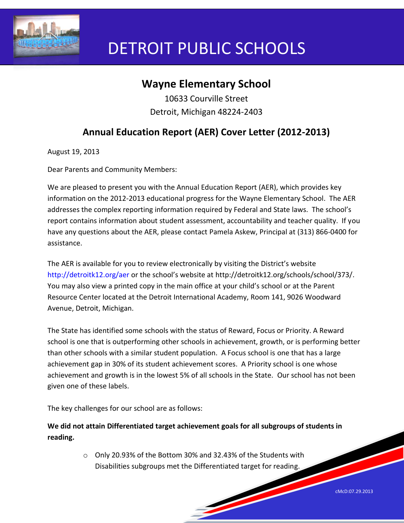

# DETROIT PUBLIC SCHOOLS

## **Wayne Elementary School**

10633 Courville Street Detroit, Michigan 48224-2403

## **Annual Education Report (AER) Cover Letter (2012-2013)**

August 19, 2013

Dear Parents and Community Members:

We are pleased to present you with the Annual Education Report (AER), which provides key information on the 2012-2013 educational progress for the Wayne Elementary School. The AER addresses the complex reporting information required by Federal and State laws. The school's report contains information about student assessment, accountability and teacher quality. If you have any questions about the AER, please contact Pamela Askew, Principal at (313) 866-0400 for assistance.

The AER is available for you to review electronically by visiting the District's website http://detroitk12.org/aer or the school's website at http://detroitk12.org/schools/school/373/. You may also view a printed copy in the main office at your child's school or at the Parent Resource Center located at the Detroit International Academy, Room 141, 9026 Woodward Avenue, Detroit, Michigan.

The State has identified some schools with the status of Reward, Focus or Priority. A Reward school is one that is outperforming other schools in achievement, growth, or is performing better than other schools with a similar student population. A Focus school is one that has a large achievement gap in 30% of its student achievement scores. A Priority school is one whose achievement and growth is in the lowest 5% of all schools in the State. Our school has not been given one of these labels.

The key challenges for our school are as follows:

**We did not attain Differentiated target achievement goals for all subgroups of students in reading.**

> o Only 20.93% of the Bottom 30% and 32.43% of the Students with Disabilities subgroups met the Differentiated target for reading.

cMcD:07.29.2013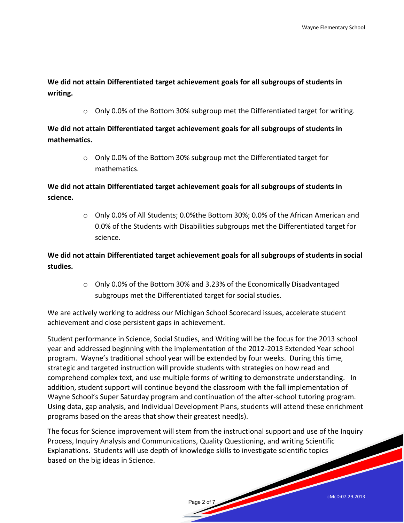**We did not attain Differentiated target achievement goals for all subgroups of students in writing.** 

 $\circ$  Only 0.0% of the Bottom 30% subgroup met the Differentiated target for writing.

**We did not attain Differentiated target achievement goals for all subgroups of students in mathematics.** 

> o Only 0.0% of the Bottom 30% subgroup met the Differentiated target for mathematics.

**We did not attain Differentiated target achievement goals for all subgroups of students in science.** 

> $\circ$  Only 0.0% of All Students; 0.0% the Bottom 30%; 0.0% of the African American and 0.0% of the Students with Disabilities subgroups met the Differentiated target for science.

**We did not attain Differentiated target achievement goals for all subgroups of students in social studies.** 

> $\circ$  Only 0.0% of the Bottom 30% and 3.23% of the Economically Disadvantaged subgroups met the Differentiated target for social studies.

We are actively working to address our Michigan School Scorecard issues, accelerate student achievement and close persistent gaps in achievement.

Student performance in Science, Social Studies, and Writing will be the focus for the 2013 school year and addressed beginning with the implementation of the 2012-2013 Extended Year school program. Wayne's traditional school year will be extended by four weeks. During this time, strategic and targeted instruction will provide students with strategies on how read and comprehend complex text, and use multiple forms of writing to demonstrate understanding. In addition, student support will continue beyond the classroom with the fall implementation of Wayne School's Super Saturday program and continuation of the after-school tutoring program. Using data, gap analysis, and Individual Development Plans, students will attend these enrichment programs based on the areas that show their greatest need(s).

The focus for Science improvement will stem from the instructional support and use of the Inquiry Process, Inquiry Analysis and Communications, Quality Questioning, and writing Scientific Explanations. Students will use depth of knowledge skills to investigate scientific topics based on the big ideas in Science.

Page 2 of 7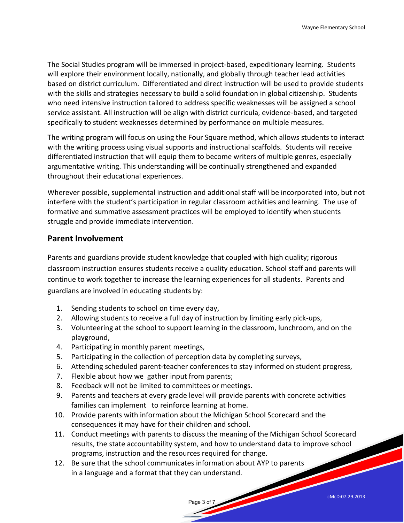The Social Studies program will be immersed in project-based, expeditionary learning. Students will explore their environment locally, nationally, and globally through teacher lead activities based on district curriculum. Differentiated and direct instruction will be used to provide students with the skills and strategies necessary to build a solid foundation in global citizenship. Students who need intensive instruction tailored to address specific weaknesses will be assigned a school service assistant. All instruction will be align with district curricula, evidence-based, and targeted specifically to student weaknesses determined by performance on multiple measures.

The writing program will focus on using the Four Square method, which allows students to interact with the writing process using visual supports and instructional scaffolds. Students will receive differentiated instruction that will equip them to become writers of multiple genres, especially argumentative writing. This understanding will be continually strengthened and expanded throughout their educational experiences.

Wherever possible, supplemental instruction and additional staff will be incorporated into, but not interfere with the student's participation in regular classroom activities and learning. The use of formative and summative assessment practices will be employed to identify when students struggle and provide immediate intervention.

#### **Parent Involvement**

Parents and guardians provide student knowledge that coupled with high quality; rigorous classroom instruction ensures students receive a quality education. School staff and parents will continue to work together to increase the learning experiences for all students. Parents and guardians are involved in educating students by:

- 1. Sending students to school on time every day,
- 2. Allowing students to receive a full day of instruction by limiting early pick-ups,
- 3. Volunteering at the school to support learning in the classroom, lunchroom, and on the playground,
- 4. Participating in monthly parent meetings,
- 5. Participating in the collection of perception data by completing surveys,
- 6. Attending scheduled parent-teacher conferences to stay informed on student progress,
- 7. Flexible about how we gather input from parents;
- 8. Feedback will not be limited to committees or meetings.
- 9. Parents and teachers at every grade level will provide parents with concrete activities families can implement to reinforce learning at home.
- 10. Provide parents with information about the Michigan School Scorecard and the consequences it may have for their children and school.
- 11. Conduct meetings with parents to discuss the meaning of the Michigan School Scorecard results, the state accountability system, and how to understand data to improve school programs, instruction and the resources required for change.

Page 3 of 7

12. Be sure that the school communicates information about AYP to parents in a language and a format that they can understand.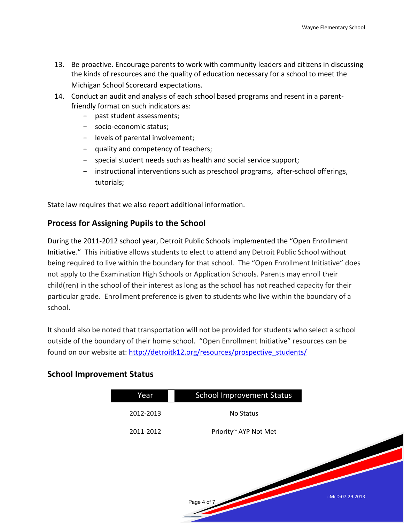- 13. Be proactive. Encourage parents to work with community leaders and citizens in discussing the kinds of resources and the quality of education necessary for a school to meet the Michigan School Scorecard expectations.
- 14. Conduct an audit and analysis of each school based programs and resent in a parentfriendly format on such indicators as:
	- − past student assessments;
	- − socio-economic status;
	- − levels of parental involvement;
	- − quality and competency of teachers;
	- − special student needs such as health and social service support;
	- − instructional interventions such as preschool programs, after-school offerings, tutorials;

State law requires that we also report additional information.

#### **Process for Assigning Pupils to the School**

During the 2011-2012 school year, Detroit Public Schools implemented the "Open Enrollment Initiative." This initiative allows students to elect to attend any Detroit Public School without being required to live within the boundary for that school. The "Open Enrollment Initiative" does not apply to the Examination High Schools or Application Schools. Parents may enroll their child(ren) in the school of their interest as long as the school has not reached capacity for their particular grade. Enrollment preference is given to students who live within the boundary of a school.

It should also be noted that transportation will not be provided for students who select a school outside of the boundary of their home school. "Open Enrollment Initiative" resources can be found on our website at: [http://detroitk12.org/resources/prospective\\_students/](http://detroitk12.org/resources/prospective_students/)

#### **School Improvement Status**

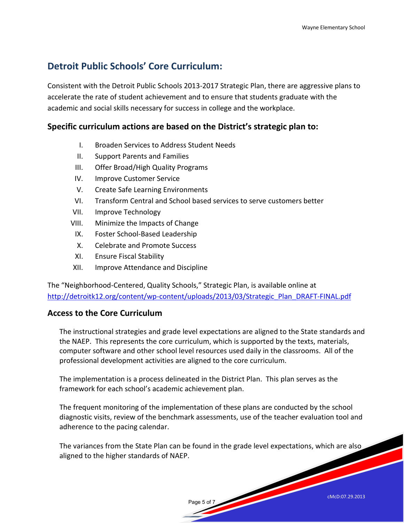### **Detroit Public Schools' Core Curriculum:**

Consistent with the Detroit Public Schools 2013-2017 Strategic Plan, there are aggressive plans to accelerate the rate of student achievement and to ensure that students graduate with the academic and social skills necessary for success in college and the workplace.

#### **Specific curriculum actions are based on the District's strategic plan to:**

- I. Broaden Services to Address Student Needs
- II. Support Parents and Families
- III. Offer Broad/High Quality Programs
- IV. Improve Customer Service
- V. Create Safe Learning Environments
- VI. Transform Central and School based services to serve customers better
- VII. Improve Technology
- VIII. Minimize the Impacts of Change
	- IX. Foster School-Based Leadership
	- X. Celebrate and Promote Success
- XI. Ensure Fiscal Stability
- XII. Improve Attendance and Discipline

The "Neighborhood-Centered, Quality Schools," Strategic Plan, is available online at [http://detroitk12.org/content/wp-content/uploads/2013/03/Strategic\\_Plan\\_DRAFT-FINAL.pdf](http://detroitk12.org/content/wp-content/uploads/2013/03/Strategic_Plan_DRAFT-FINAL.pdf)

#### **Access to the Core Curriculum**

The instructional strategies and grade level expectations are aligned to the State standards and the NAEP. This represents the core curriculum, which is supported by the texts, materials, computer software and other school level resources used daily in the classrooms. All of the professional development activities are aligned to the core curriculum.

The implementation is a process delineated in the District Plan. This plan serves as the framework for each school's academic achievement plan.

The frequent monitoring of the implementation of these plans are conducted by the school diagnostic visits, review of the benchmark assessments, use of the teacher evaluation tool and adherence to the pacing calendar.

The variances from the State Plan can be found in the grade level expectations, which are also aligned to the higher standards of NAEP.

Page 5 of 7

cMcD:07.29.2013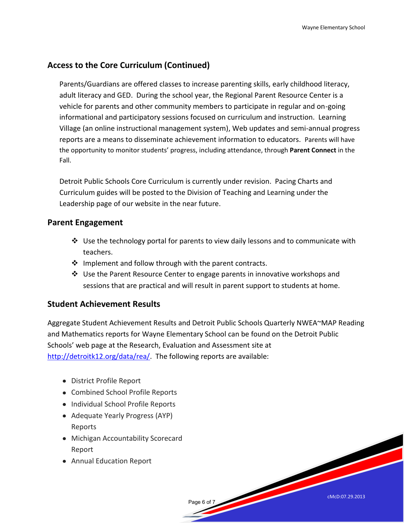cMcD:07.29.2013

#### **Access to the Core Curriculum (Continued)**

Parents/Guardians are offered classes to increase parenting skills, early childhood literacy, adult literacy and GED. During the school year, the Regional Parent Resource Center is a vehicle for parents and other community members to participate in regular and on-going informational and participatory sessions focused on curriculum and instruction. Learning Village (an online instructional management system), Web updates and semi-annual progress reports are a means to disseminate achievement information to educators. Parents will have the opportunity to monitor students' progress, including attendance, through **Parent Connect** in the Fall.

Detroit Public Schools Core Curriculum is currently under revision. Pacing Charts and Curriculum guides will be posted to the Division of Teaching and Learning under the Leadership page of our website in the near future.

#### **Parent Engagement**

- Use the technology portal for parents to view daily lessons and to communicate with teachers.
- $\clubsuit$  Implement and follow through with the parent contracts.
- $\clubsuit$  Use the Parent Resource Center to engage parents in innovative workshops and sessions that are practical and will result in parent support to students at home.

#### **Student Achievement Results**

Aggregate Student Achievement Results and Detroit Public Schools Quarterly NWEA~MAP Reading and Mathematics reports for Wayne Elementary School can be found on the Detroit Public Schools' web page at the Research, Evaluation and Assessment site at [http://detroitk12.org/data/rea/.](http://detroitk12.org/data/rea/) The following reports are available:

Page 6 of 7

- District Profile Report
- Combined School Profile Reports
- Individual School Profile Reports
- Adequate Yearly Progress (AYP) Reports
- Michigan Accountability Scorecard Report
- Annual Education Report